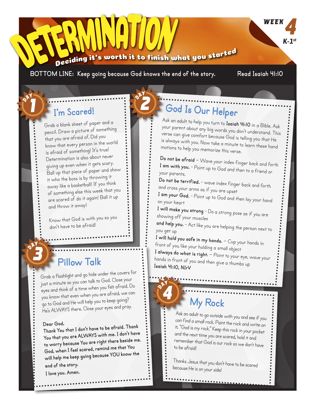#### 's worth it to finish what you started Deciding

**BOTTOM LINE: Keep going because God knows the end of the story. Read Isaiah 41:10**

**WEEK** 

*K-1st*

#### **I'm Scared!**

Grab a blank sheet of paper and a pencil. Draw a picture of something that you are afraid of. Did you know that every person in the world is afraid of something! It's true! Determination is also about never giving up even when it gets scary. Ball up that piece of paper and show it who the boss is by throwing it away like a basketball! If you think of something else this week that you are scared of do it again! Ball it up and throw it away!

Know that God is with you so you don't have to be afraid!

### **Pillow Talk**

Grab a flashlight and go hide under the covers for just a minute so you can talk to God. Close your eyes and think of a time when you felt afraid. Do you know that even when you are afraid, we can go to God and He will help you to keep going? He's ALWAYS there. Close your eyes and pray.

#### **Dear God,**

**Thank You that I don't have to be afraid. Thank You that you are ALWAYS with me. I don't have to worry because You are right there beside me. God, when I feel scared, remind me that You will help me keep going because YOU know the end of the story.**

**I love you. Amen.**

# **God Is Our Helper**

Ask an adult to help you turn to **Isaiah 41:10** in a Bible. Ask your parent about any big words you don't understand. This verse can give comfort because God is telling you that He is always with you. Now take a minute to learn these hand motions to help you memorize this verse.

**Do not be afraid** – Wave your index finger back and forth **I am with you.** - Point up to God and then to a friend or your parents.

**Do not be terrified.** - wave index finger back and forth and cross your arms as if you are upset

**I am your God.** - Point up to God and then lay your hand on your heart

**I will make you strong** - Do a strong pose as if you are showing off your muscles

**and help you.** - Act like you are helping the person next to you get up

**I will hold you safe in my hands.** – Cup your hands in front of you like your holding a small object

**I always do what is right.** – Point to your eye, wave your hands in front of you and then give a thumbs up **Isaiah 41:10, NIrV** 

## **My Rock**

Ask an adult to go outside with you and see if you can find a small rock. Paint the rock and write on it, "God is my rock." Keep this rock in your pocket and the next time you are scared, hold it and remember that God is our rock so we don't have to be afraid!

Thanks Jesus that you don't have to be scared because He is on your side!